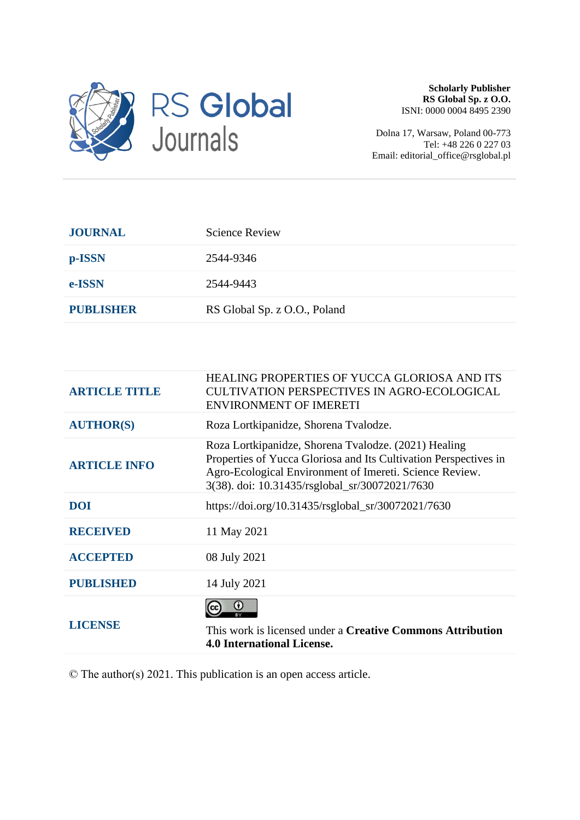

**Scholarly Publisher RS Global Sp. z O.O.** ISNI: 0000 0004 8495 2390

Dolna 17, Warsaw, Poland 00-773 Tel: +48 226 0 227 03 Email: editorial\_office@rsglobal.pl

| <b>JOURNAL</b>   | <b>Science Review</b>        |
|------------------|------------------------------|
| p-ISSN           | 2544-9346                    |
| e-ISSN           | 2544-9443                    |
| <b>PUBLISHER</b> | RS Global Sp. z O.O., Poland |

| <b>ARTICLE TITLE</b> | HEALING PROPERTIES OF YUCCA GLORIOSA AND ITS<br><b>CULTIVATION PERSPECTIVES IN AGRO-ECOLOGICAL</b><br><b>ENVIRONMENT OF IMERETI</b>                                                                                                   |
|----------------------|---------------------------------------------------------------------------------------------------------------------------------------------------------------------------------------------------------------------------------------|
| <b>AUTHOR(S)</b>     | Roza Lortkipanidze, Shorena Tvalodze.                                                                                                                                                                                                 |
| <b>ARTICLE INFO</b>  | Roza Lortkipanidze, Shorena Tvalodze. (2021) Healing<br>Properties of Yucca Gloriosa and Its Cultivation Perspectives in<br>Agro-Ecological Environment of Imereti. Science Review.<br>3(38). doi: 10.31435/rsglobal_sr/30072021/7630 |
| <b>DOI</b>           | https://doi.org/10.31435/rsglobal_sr/30072021/7630                                                                                                                                                                                    |
| <b>RECEIVED</b>      | 11 May 2021                                                                                                                                                                                                                           |
| <b>ACCEPTED</b>      | 08 July 2021                                                                                                                                                                                                                          |
| <b>PUBLISHED</b>     | 14 July 2021                                                                                                                                                                                                                          |
| <b>LICENSE</b>       | O<br>This work is licensed under a <b>Creative Commons Attribution</b><br><b>4.0 International License.</b>                                                                                                                           |

© The author(s) 2021. This publication is an open access article.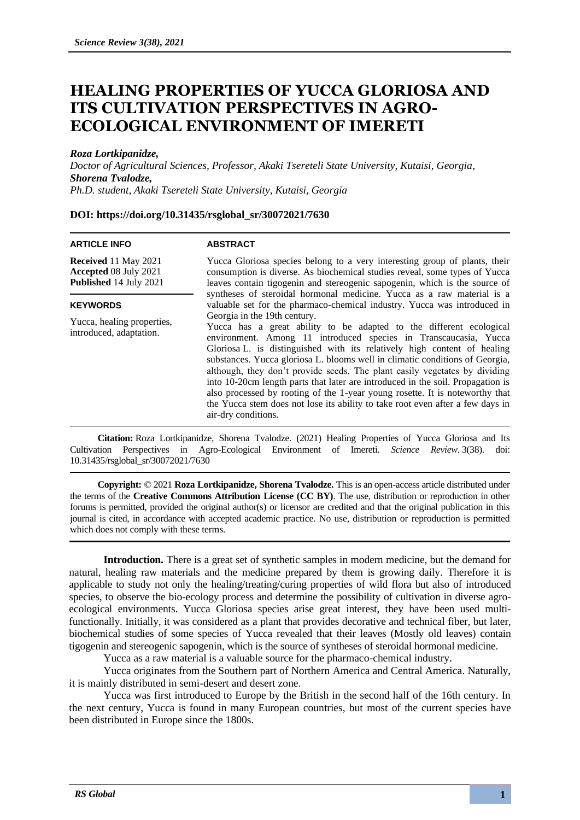# **HEALING PROPERTIES OF YUCCA GLORIOSA AND ITS CULTIVATION PERSPECTIVES IN AGRO-ECOLOGICAL ENVIRONMENT OF IMERETI**

## *Roza Lortkipanidze,*

*Doctor of Agricultural Sciences, Professor, Akaki Tsereteli State University, Kutaisi, Georgia, Shorena Tvalodze, Ph.D. student, Akaki Tsereteli State University, Kutaisi, Georgia*

# **DOI: https://doi.org/10.31435/rsglobal\_sr/30072021/7630**

#### **ARTICLE INFO**

### **ABSTRACT**

**Received** 11 May 2021 **Accepted** 08 July 2021 **Published** 14 July 2021

#### **KEYWORDS**

Yucca, healing properties, introduced, adaptation.

Yucca Gloriosa species belong to a very interesting group of plants, their consumption is diverse. As biochemical studies reveal, some types of Yucca leaves contain tigogenin and stereogenic sapogenin, which is the source of syntheses of steroidal hormonal medicine. Yucca as a raw material is a valuable set for the pharmaco-chemical industry. Yucca was introduced in Georgia in the 19th century. Yucca has a great ability to be adapted to the different ecological

environment. Among 11 introduced species in Transcaucasia, Yucca Gloriosa L. is distinguished with its relatively high content of healing substances. Yucca gloriosa L. blooms well in climatic conditions of Georgia, although, they don't provide seeds. The plant easily vegetates by dividing into 10-20cm length parts that later are introduced in the soil. Propagation is also processed by rooting of the 1-year young rosette. It is noteworthy that the Yucca stem does not lose its ability to take root even after a few days in air-dry conditions.

**Citation:** Roza Lortkipanidze, Shorena Tvalodze. (2021) Healing Properties of Yucca Gloriosa and Its Cultivation Perspectives in Agro-Ecological Environment of Imereti. *Science Review*. 3(38). doi: 10.31435/rsglobal\_sr/30072021/7630

**Copyright:** © 2021 **Roza Lortkipanidze, Shorena Tvalodze.** This is an open-access article distributed under the terms of the **Creative Commons Attribution License (CC BY)**. The use, distribution or reproduction in other forums is permitted, provided the original author(s) or licensor are credited and that the original publication in this journal is cited, in accordance with accepted academic practice. No use, distribution or reproduction is permitted which does not comply with these terms.

**Introduction.** There is a great set of synthetic samples in modern medicine, but the demand for natural, healing raw materials and the medicine prepared by them is growing daily. Therefore it is applicable to study not only the healing/treating/curing properties of wild flora but also of introduced species, to observe the bio-ecology process and determine the possibility of cultivation in diverse agroecological environments. Yucca Gloriosa species arise great interest, they have been used multifunctionally. Initially, it was considered as a plant that provides decorative and technical fiber, but later, biochemical studies of some species of Yucca revealed that their leaves (Mostly old leaves) contain tigogenin and stereogenic sapogenin, which is the source of syntheses of steroidal hormonal medicine.

Yucca as a raw material is a valuable source for the pharmaco-chemical industry.

Yucca originates from the Southern part of Northern America and Central America. Naturally, it is mainly distributed in semi-desert and desert zone.

Yucca was first introduced to Europe by the British in the second half of the 16th century. In the next century, Yucca is found in many European countries, but most of the current species have been distributed in Europe since the 1800s.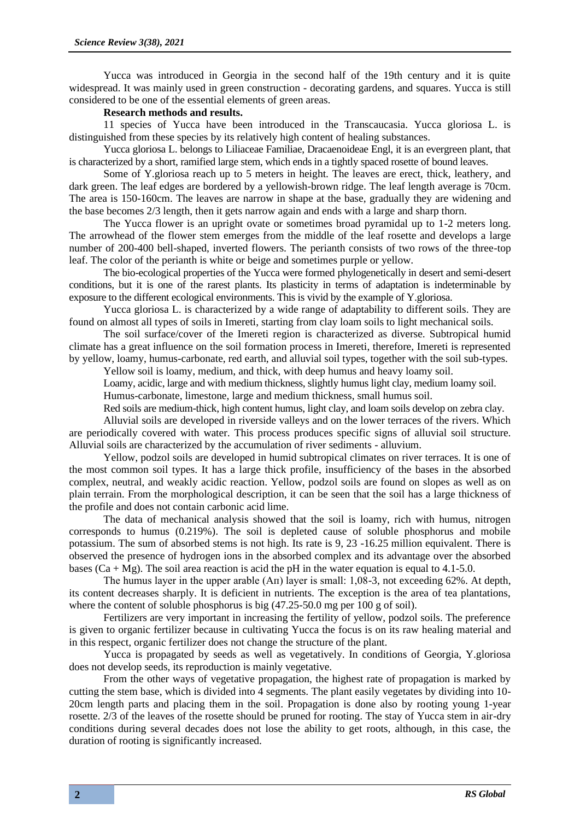Yucca was introduced in Georgia in the second half of the 19th century and it is quite widespread. It was mainly used in green construction - decorating gardens, and squares. Yucca is still considered to be one of the essential elements of green areas.

# **Research methods and results.**

11 species of Yucca have been introduced in the Transcaucasia. Yucca gloriosa L. is distinguished from these species by its relatively high content of healing substances.

Yucca gloriosa L. belongs to Liliaceae Familiae, Dracaenoideae Engl, it is an evergreen plant, that is characterized by a short, ramified large stem, which ends in a tightly spaced rosette of bound leaves.

Some of Y.gloriosa reach up to 5 meters in height. The leaves are erect, thick, leathery, and dark green. The leaf edges are bordered by a yellowish-brown ridge. The leaf length average is 70cm. The area is 150-160cm. The leaves are narrow in shape at the base, gradually they are widening and the base becomes 2/3 length, then it gets narrow again and ends with a large and sharp thorn.

The Yucca flower is an upright ovate or sometimes broad pyramidal up to 1-2 meters long. The arrowhead of the flower stem emerges from the middle of the leaf rosette and develops a large number of 200-400 bell-shaped, inverted flowers. The perianth consists of two rows of the three-top leaf. The color of the perianth is white or beige and sometimes purple or yellow.

The bio-ecological properties of the Yucca were formed phylogenetically in desert and semi-desert conditions, but it is one of the rarest plants. Its plasticity in terms of adaptation is indeterminable by exposure to the different ecological environments. This is vivid by the example of Y.gloriosa.

Yucca gloriosa L. is characterized by a wide range of adaptability to different soils. They are found on almost all types of soils in Imereti, starting from clay loam soils to light mechanical soils.

The soil surface/cover of the Imereti region is characterized as diverse. Subtropical humid climate has a great influence on the soil formation process in Imereti, therefore, Imereti is represented by yellow, loamy, humus-carbonate, red earth, and alluvial soil types, together with the soil sub-types.

Yellow soil is loamy, medium, and thick, with deep humus and heavy loamy soil.

Loamy, acidic, large and with medium thickness, slightly humus light clay, medium loamy soil.

Humus-carbonate, limestone, large and medium thickness, small humus soil.

Red soils are medium-thick, high content humus, light clay, and loam soils develop on zebra clay.

Alluvial soils are developed in riverside valleys and on the lower terraces of the rivers. Which are periodically covered with water. This process produces specific signs of alluvial soil structure. Alluvial soils are characterized by the accumulation of river sediments - alluvium.

Yellow, podzol soils are developed in humid subtropical climates on river terraces. It is one of the most common soil types. It has a large thick profile, insufficiency of the bases in the absorbed complex, neutral, and weakly acidic reaction. Yellow, podzol soils are found on slopes as well as on plain terrain. From the morphological description, it can be seen that the soil has a large thickness of the profile and does not contain carbonic acid lime.

The data of mechanical analysis showed that the soil is loamy, rich with humus, nitrogen corresponds to humus (0.219%). The soil is depleted cause of soluble phosphorus and mobile potassium. The sum of absorbed stems is not high. Its rate is 9, 23 -16.25 million equivalent. There is observed the presence of hydrogen ions in the absorbed complex and its advantage over the absorbed bases (Ca + Mg). The soil area reaction is acid the pH in the water equation is equal to 4.1-5.0.

The humus layer in the upper arable (Aп) layer is small: 1,08-3, not exceeding 62%. At depth, its content decreases sharply. It is deficient in nutrients. The exception is the area of tea plantations, where the content of soluble phosphorus is big  $(47.25-50.0 \text{ mg per } 100 \text{ g of soil})$ .

Fertilizers are very important in increasing the fertility of yellow, podzol soils. The preference is given to organic fertilizer because in cultivating Yucca the focus is on its raw healing material and in this respect, organic fertilizer does not change the structure of the plant.

Yucca is propagated by seeds as well as vegetatively. In conditions of Georgia, Y.gloriosa does not develop seeds, its reproduction is mainly vegetative.

From the other ways of vegetative propagation, the highest rate of propagation is marked by cutting the stem base, which is divided into 4 segments. The plant easily vegetates by dividing into 10- 20cm length parts and placing them in the soil. Propagation is done also by rooting young 1-year rosette. 2/3 of the leaves of the rosette should be pruned for rooting. The stay of Yucca stem in air-dry conditions during several decades does not lose the ability to get roots, although, in this case, the duration of rooting is significantly increased.